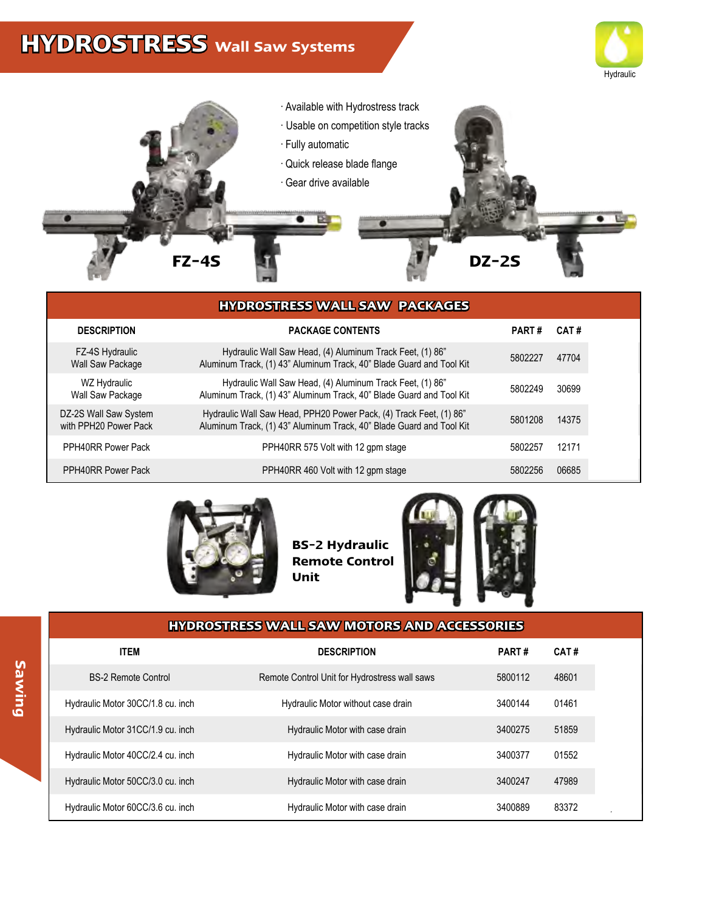## **HYDROSTRESS Wall Saw Systems**





|                                                | <b>HYDROSTRESS WALL SAW PACKAGES</b>                                                                                                       |              |       |
|------------------------------------------------|--------------------------------------------------------------------------------------------------------------------------------------------|--------------|-------|
| <b>DESCRIPTION</b>                             | <b>PACKAGE CONTENTS</b>                                                                                                                    | <b>PART#</b> | CAT#  |
| FZ-4S Hydraulic<br>Wall Saw Package            | Hydraulic Wall Saw Head, (4) Aluminum Track Feet, (1) 86"<br>Aluminum Track, (1) 43" Aluminum Track, 40" Blade Guard and Tool Kit          | 5802227      | 47704 |
| WZ Hydraulic<br>Wall Saw Package               | Hydraulic Wall Saw Head, (4) Aluminum Track Feet, (1) 86"<br>Aluminum Track, (1) 43" Aluminum Track, 40" Blade Guard and Tool Kit          | 5802249      | 30699 |
| DZ-2S Wall Saw System<br>with PPH20 Power Pack | Hydraulic Wall Saw Head, PPH20 Power Pack, (4) Track Feet, (1) 86"<br>Aluminum Track, (1) 43" Aluminum Track, 40" Blade Guard and Tool Kit | 5801208      | 14375 |
| PPH40RR Power Pack                             | PPH40RR 575 Volt with 12 gpm stage                                                                                                         | 5802257      | 12171 |
| PPH40RR Power Pack                             | PPH40RR 460 Volt with 12 gpm stage                                                                                                         | 5802256      | 06685 |



**BS-2 Hydraulic Remote Control Unit**



## **HYDROSTRESS WALL SAW MOTORS AND ACCESSORIES**

| <b>ITEM</b>                       | <b>DESCRIPTION</b>                            | <b>PART#</b> | CAT#  |
|-----------------------------------|-----------------------------------------------|--------------|-------|
| <b>BS-2 Remote Control</b>        | Remote Control Unit for Hydrostress wall saws | 5800112      | 48601 |
| Hydraulic Motor 30CC/1.8 cu. inch | Hydraulic Motor without case drain            | 3400144      | 01461 |
| Hydraulic Motor 31CC/1.9 cu. inch | Hydraulic Motor with case drain               | 3400275      | 51859 |
| Hydraulic Motor 40CC/2.4 cu. inch | Hydraulic Motor with case drain               | 3400377      | 01552 |
| Hydraulic Motor 50CC/3.0 cu. inch | Hydraulic Motor with case drain               | 3400247      | 47989 |
| Hydraulic Motor 60CC/3.6 cu. inch | Hydraulic Motor with case drain               | 3400889      | 83372 |